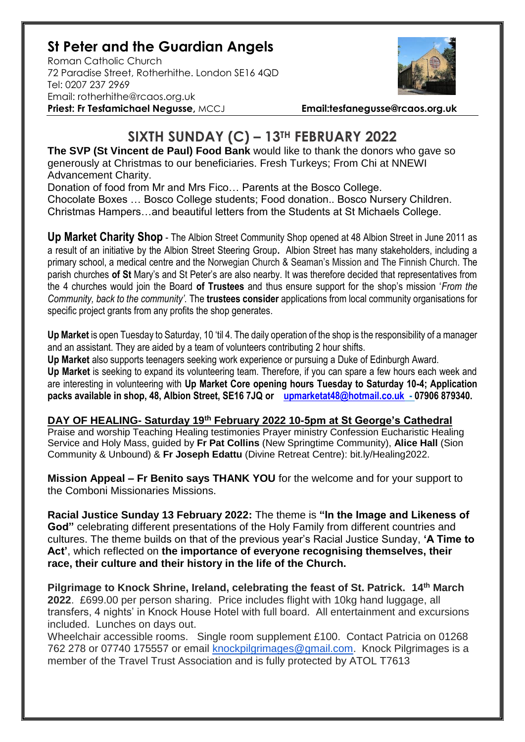## **St Peter and the Guardian Angels**

Roman Catholic Church 72 Paradise Street, Rotherhithe. London SE16 4QD [Tel: 0207](tel:0207) 237 2969 Email: rotherhithe@rcaos.org.uk **Priest: Fr Tesfamichael Negusse,** MCCJ **Email:tesfanegusse@rcaos.org.uk**



## **SIXTH SUNDAY (C) – 13TH FEBRUARY 2022**

**The SVP (St Vincent de Paul) Food Bank** would like to thank the donors who gave so generously at Christmas to our beneficiaries. Fresh Turkeys; From Chi at NNEWI Advancement Charity.

Donation of food from Mr and Mrs Fico… Parents at the Bosco College.

Chocolate Boxes … Bosco College students; Food donation.. Bosco Nursery Children. Christmas Hampers…and beautiful letters from the Students at St Michaels College.

**Up Market Charity Shop** - The Albion Street Community Shop opened at 48 Albion Street in June 2011 as a result of an initiative by the Albion Street Steering Group**.** Albion Street has many stakeholders, including a primary school, a medical centre and the Norwegian Church & Seaman's Mission and The Finnish Church. The parish churches **of St** Mary's and St Peter's are also nearby. It was therefore decided that representatives from the 4 churches would join the Board **of Trustees** and thus ensure support for the shop's mission '*From the Community, back to the community'.* The **trustees consider** applications from local community organisations for specific project grants from any profits the shop generates.

**Up Market** is open Tuesday to Saturday, 10 'til 4. The daily operation of the shop is the responsibility of a manager and an assistant. They are aided by a team of volunteers contributing 2 hour shifts.

**Up Market** also supports teenagers seeking work experience or pursuing a Duke of Edinburgh Award. **Up Market** is seeking to expand its volunteering team. Therefore, if you can spare a few hours each week and are interesting in volunteering with **Up Market Core opening hours Tuesday to Saturday 10-4; Application packs available in shop, 48, Albion Street, SE16 7JQ or [upmarketat48@hotmail.co.uk](mailto:upmarketat48@hotmail.co.uk) - 07906 879340.**

**DAY OF HEALING- Saturday 19th February 2022 10-5pm at St George's Cathedral**

Praise and worship Teaching Healing testimonies Prayer ministry Confession Eucharistic Healing Service and Holy Mass, guided by **Fr Pat Collins** (New Springtime Community), **Alice Hall** (Sion Community & Unbound) & **Fr Joseph Edattu** (Divine Retreat Centre): bit.ly/Healing2022.

**Mission Appeal – Fr Benito says THANK YOU** for the welcome and for your support to the Comboni Missionaries Missions.

**Racial Justice Sunday 13 February 2022:** The theme is **"In the Image and Likeness of God"** celebrating different presentations of the Holy Family from different countries and cultures. The theme builds on that of the previous year's Racial Justice Sunday, **'A Time to Act'**, which reflected on **the importance of everyone recognising themselves, their race, their culture and their history in the life of the Church.**

**Pilgrimage to Knock Shrine, Ireland, celebrating the feast of St. Patrick. 14th March 2022**. £699.00 per person sharing. Price includes flight with 10kg hand luggage, all transfers, 4 nights' in Knock House Hotel with full board. All entertainment and excursions included. Lunches on days out.

Wheelchair accessible rooms. Single room supplement £100. Contact Patricia on 01268 762 278 or 07740 175557 or email [knockpilgrimages@gmail.com.](mailto:patricia@gotrouvaille.com) Knock Pilgrimages is a member of the Travel Trust Association and is fully protected by ATOL T7613